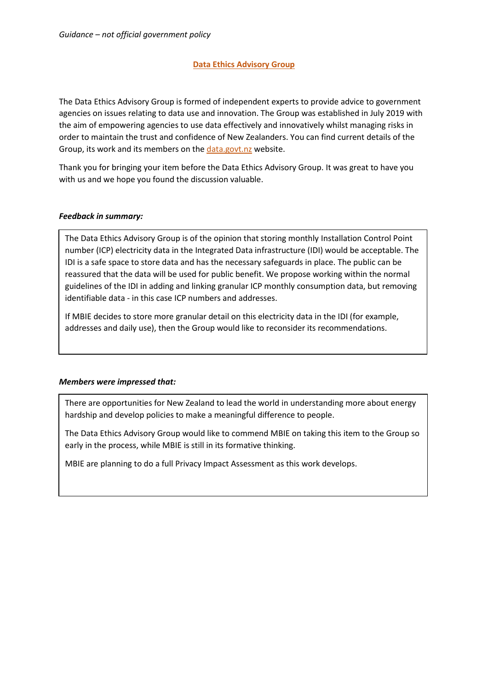# **Data Ethics Advisory Group**

The Data Ethics Advisory Group is formed of independent experts to provide advice to government agencies on issues relating to data use and innovation. The Group was established in July 2019 with the aim of empowering agencies to use data effectively and innovatively whilst managing risks in order to maintain the trust and confidence of New Zealanders. You can find current details of the Group, its work and its members on the [data.govt.nz](https://data.govt.nz/about/government-chief-data-steward-gcds/data-ethics-advisory-group/meeting-agendas-and-minutes/) website.

Thank you for bringing your item before the Data Ethics Advisory Group. It was great to have you with us and we hope you found the discussion valuable.

## *Feedback in summary:*

The Data Ethics Advisory Group is of the opinion that storing monthly Installation Control Point number (ICP) electricity data in the Integrated Data infrastructure (IDI) would be acceptable. The IDI is a safe space to store data and has the necessary safeguards in place. The public can be reassured that the data will be used for public benefit. We propose working within the normal guidelines of the IDI in adding and linking granular ICP monthly consumption data, but removing identifiable data - in this case ICP numbers and addresses.

If MBIE decides to store more granular detail on this electricity data in the IDI (for example, addresses and daily use), then the Group would like to reconsider its recommendations.

#### *Members were impressed that:*

There are opportunities for New Zealand to lead the world in understanding more about energy hardship and develop policies to make a meaningful difference to people.

The Data Ethics Advisory Group would like to commend MBIE on taking this item to the Group so early in the process, while MBIE is still in its formative thinking.

MBIE are planning to do a full Privacy Impact Assessment as this work develops.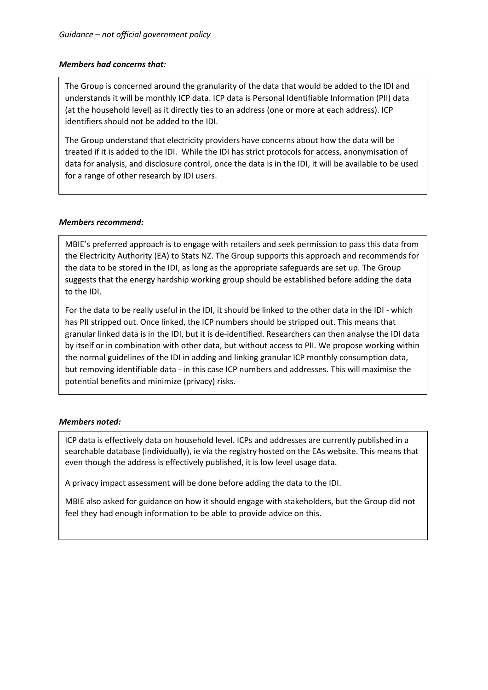## *Members had concerns that:*

The Group is concerned around the granularity of the data that would be added to the IDI and understands it will be monthly ICP data. ICP data is Personal Identifiable Information (PII) data (at the household level) as it directly ties to an address (one or more at each address). ICP identifiers should not be added to the IDI.

The Group understand that electricity providers have concerns about how the data will be treated if it is added to the IDI. While the IDI has strict protocols for access, anonymisation of data for analysis, and disclosure control, once the data is in the IDI, it will be available to be used for a range of other research by IDI users.

## *Members recommend:*

MBIE's preferred approach is to engage with retailers and seek permission to pass this data from the Electricity Authority (EA) to Stats NZ. The Group supports this approach and recommends for the data to be stored in the IDI, as long as the appropriate safeguards are set up. The Group suggests that the energy hardship working group should be established before adding the data to the IDI.

For the data to be really useful in the IDI, it should be linked to the other data in the IDI - which has PII stripped out. Once linked, the ICP numbers should be stripped out. This means that granular linked data is in the IDI, but it is de-identified. Researchers can then analyse the IDI data by itself or in combination with other data, but without access to PII. We propose working within the normal guidelines of the IDI in adding and linking granular ICP monthly consumption data, but removing identifiable data - in this case ICP numbers and addresses. This will maximise the potential benefits and minimize (privacy) risks.

# *Members noted:*

ICP data is effectively data on household level. ICPs and addresses are currently published in a searchable database (individually), ie via the registry hosted on the EAs website. This means that even though the address is effectively published, it is low level usage data.

A privacy impact assessment will be done before adding the data to the IDI.

MBIE also asked for guidance on how it should engage with stakeholders, but the Group did not feel they had enough information to be able to provide advice on this.